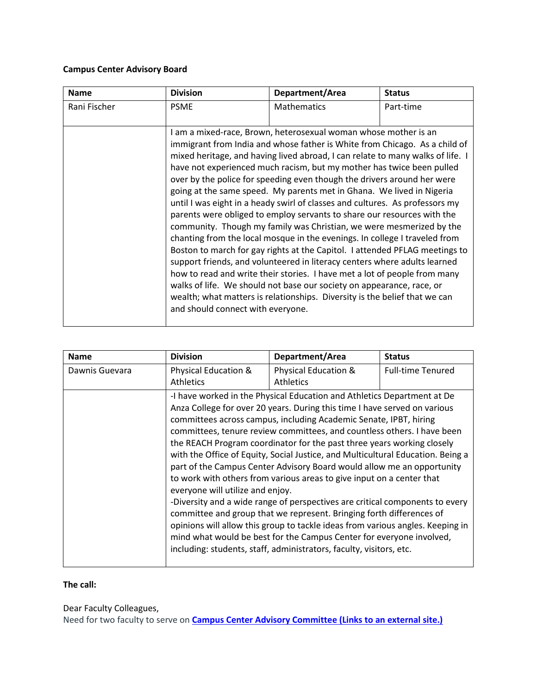## **Campus Center Advisory Board**

| <b>Name</b>  | <b>Division</b>                   | Department/Area                                                                                                                                                                                                                                                                                                                                                                                                                                                                                                                                                                                                                                                                                                                                                                                                                                                                                                                                                                                                                                                                                                                                                               | <b>Status</b> |
|--------------|-----------------------------------|-------------------------------------------------------------------------------------------------------------------------------------------------------------------------------------------------------------------------------------------------------------------------------------------------------------------------------------------------------------------------------------------------------------------------------------------------------------------------------------------------------------------------------------------------------------------------------------------------------------------------------------------------------------------------------------------------------------------------------------------------------------------------------------------------------------------------------------------------------------------------------------------------------------------------------------------------------------------------------------------------------------------------------------------------------------------------------------------------------------------------------------------------------------------------------|---------------|
| Rani Fischer | <b>PSME</b>                       | <b>Mathematics</b>                                                                                                                                                                                                                                                                                                                                                                                                                                                                                                                                                                                                                                                                                                                                                                                                                                                                                                                                                                                                                                                                                                                                                            | Part-time     |
|              | and should connect with everyone. | I am a mixed-race, Brown, heterosexual woman whose mother is an<br>immigrant from India and whose father is White from Chicago. As a child of<br>mixed heritage, and having lived abroad, I can relate to many walks of life. I<br>have not experienced much racism, but my mother has twice been pulled<br>over by the police for speeding even though the drivers around her were<br>going at the same speed. My parents met in Ghana. We lived in Nigeria<br>until I was eight in a heady swirl of classes and cultures. As professors my<br>parents were obliged to employ servants to share our resources with the<br>community. Though my family was Christian, we were mesmerized by the<br>chanting from the local mosque in the evenings. In college I traveled from<br>Boston to march for gay rights at the Capitol. I attended PFLAG meetings to<br>support friends, and volunteered in literacy centers where adults learned<br>how to read and write their stories. I have met a lot of people from many<br>walks of life. We should not base our society on appearance, race, or<br>wealth; what matters is relationships. Diversity is the belief that we can |               |

| <b>Name</b>    | <b>Division</b>                                                                                                                                                                                                                                                                                                                                                                                                                                                                                                                                                                                                                                                                                                                                                                                                                                                                                                                                                                                                                                   | Department/Area                 | <b>Status</b>            |  |
|----------------|---------------------------------------------------------------------------------------------------------------------------------------------------------------------------------------------------------------------------------------------------------------------------------------------------------------------------------------------------------------------------------------------------------------------------------------------------------------------------------------------------------------------------------------------------------------------------------------------------------------------------------------------------------------------------------------------------------------------------------------------------------------------------------------------------------------------------------------------------------------------------------------------------------------------------------------------------------------------------------------------------------------------------------------------------|---------------------------------|--------------------------|--|
| Dawnis Guevara | <b>Physical Education &amp;</b>                                                                                                                                                                                                                                                                                                                                                                                                                                                                                                                                                                                                                                                                                                                                                                                                                                                                                                                                                                                                                   | <b>Physical Education &amp;</b> | <b>Full-time Tenured</b> |  |
|                | <b>Athletics</b>                                                                                                                                                                                                                                                                                                                                                                                                                                                                                                                                                                                                                                                                                                                                                                                                                                                                                                                                                                                                                                  | <b>Athletics</b>                |                          |  |
|                | -I have worked in the Physical Education and Athletics Department at De<br>Anza College for over 20 years. During this time I have served on various<br>committees across campus, including Academic Senate, IPBT, hiring<br>committees, tenure review committees, and countless others. I have been<br>the REACH Program coordinator for the past three years working closely<br>with the Office of Equity, Social Justice, and Multicultural Education. Being a<br>part of the Campus Center Advisory Board would allow me an opportunity<br>to work with others from various areas to give input on a center that<br>everyone will utilize and enjoy.<br>-Diversity and a wide range of perspectives are critical components to every<br>committee and group that we represent. Bringing forth differences of<br>opinions will allow this group to tackle ideas from various angles. Keeping in<br>mind what would be best for the Campus Center for everyone involved,<br>including: students, staff, administrators, faculty, visitors, etc. |                                 |                          |  |

## **The call:**

Dear Faculty Colleagues,

Need for two faculty to serve on **[Campus Center Advisory Committee](https://www.deanza.edu/gov/campus-center-advisory/) (Links to an external site.)**